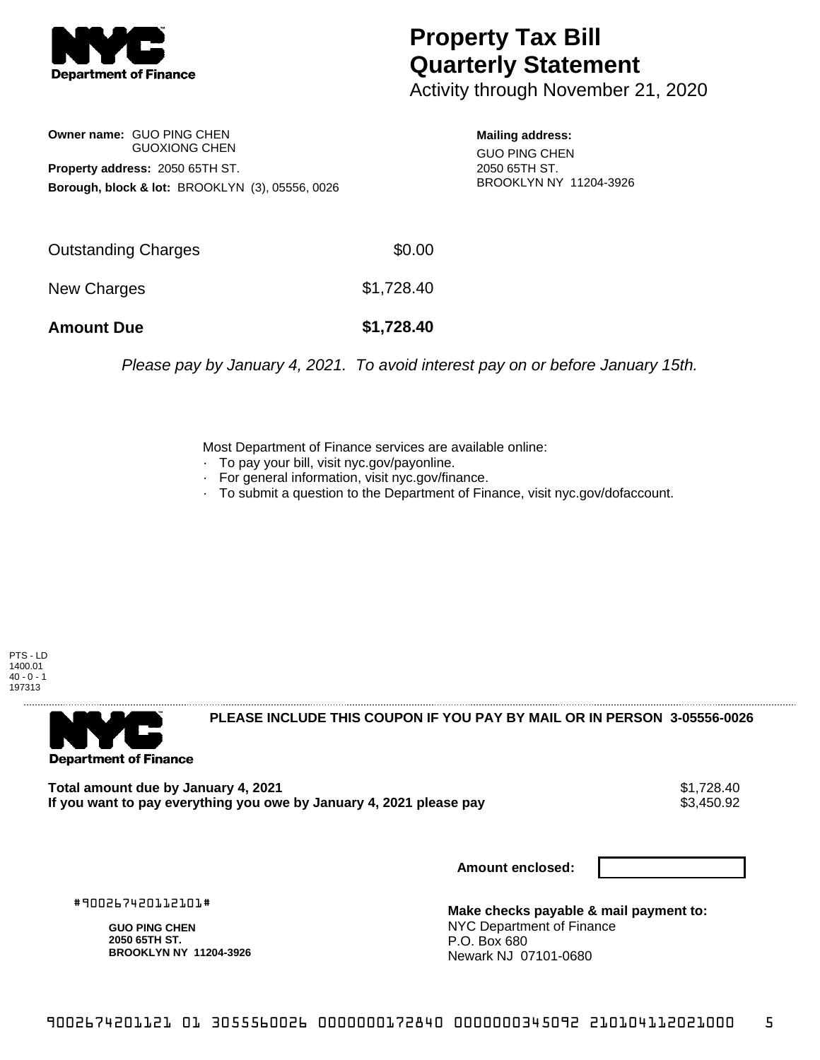

## **Property Tax Bill Quarterly Statement**

Activity through November 21, 2020

**Owner name:** GUO PING CHEN GUOXIONG CHEN **Property address:** 2050 65TH ST. **Borough, block & lot:** BROOKLYN (3), 05556, 0026

**Mailing address:** GUO PING CHEN 2050 65TH ST. BROOKLYN NY 11204-3926

| <b>Amount Due</b>   | \$1,728.40 |
|---------------------|------------|
| New Charges         | \$1,728.40 |
| Outstanding Charges | \$0.00     |

Please pay by January 4, 2021. To avoid interest pay on or before January 15th.

Most Department of Finance services are available online:

- · To pay your bill, visit nyc.gov/payonline.
- For general information, visit nyc.gov/finance.
- · To submit a question to the Department of Finance, visit nyc.gov/dofaccount.





**PLEASE INCLUDE THIS COUPON IF YOU PAY BY MAIL OR IN PERSON 3-05556-0026** 

Total amount due by January 4, 2021<br>If you want to pay everything you owe by January 4, 2021 please pay **ship and the same of the set of the s**3,450.92 If you want to pay everything you owe by January 4, 2021 please pay

**Amount enclosed:**

#900267420112101#

**GUO PING CHEN 2050 65TH ST. BROOKLYN NY 11204-3926**

**Make checks payable & mail payment to:** NYC Department of Finance P.O. Box 680 Newark NJ 07101-0680